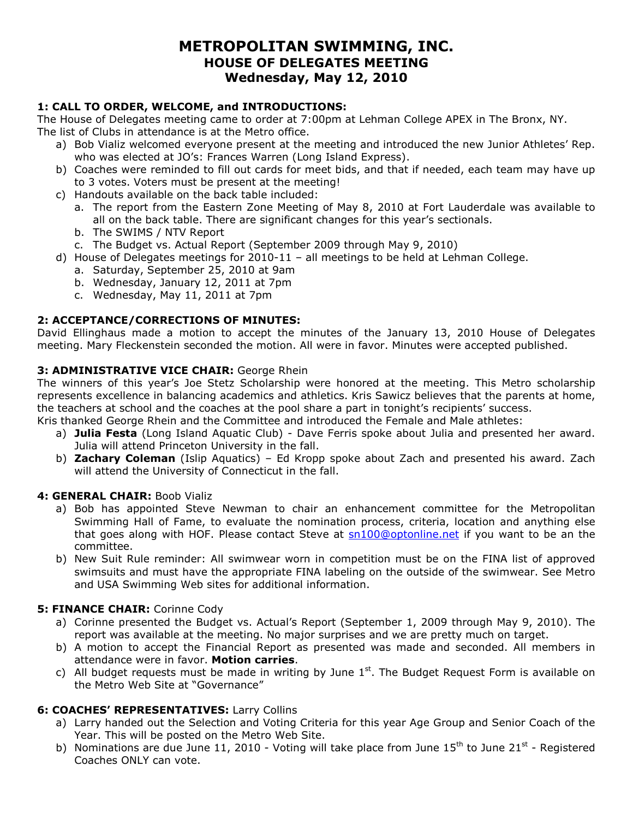# **METROPOLITAN SWIMMING, INC. HOUSE OF DELEGATES MEETING Wednesday, May 12, 2010**

# **1: CALL TO ORDER, WELCOME, and INTRODUCTIONS:**

The House of Delegates meeting came to order at 7:00pm at Lehman College APEX in The Bronx, NY. The list of Clubs in attendance is at the Metro office.

- a) Bob Vializ welcomed everyone present at the meeting and introduced the new Junior Athletes' Rep. who was elected at JO's: Frances Warren (Long Island Express).
- b) Coaches were reminded to fill out cards for meet bids, and that if needed, each team may have up to 3 votes. Voters must be present at the meeting!
- c) Handouts available on the back table included:
	- a. The report from the Eastern Zone Meeting of May 8, 2010 at Fort Lauderdale was available to all on the back table. There are significant changes for this year's sectionals.
	- b. The SWIMS / NTV Report
	- c. The Budget vs. Actual Report (September 2009 through May 9, 2010)
- d) House of Delegates meetings for 2010-11 all meetings to be held at Lehman College.
	- a. Saturday, September 25, 2010 at 9am
	- b. Wednesday, January 12, 2011 at 7pm
	- c. Wednesday, May 11, 2011 at 7pm

# **2: ACCEPTANCE/CORRECTIONS OF MINUTES:**

David Ellinghaus made a motion to accept the minutes of the January 13, 2010 House of Delegates meeting. Mary Fleckenstein seconded the motion. All were in favor. Minutes were accepted published.

# **3: ADMINISTRATIVE VICE CHAIR:** George Rhein

The winners of this year's Joe Stetz Scholarship were honored at the meeting. This Metro scholarship represents excellence in balancing academics and athletics. Kris Sawicz believes that the parents at home, the teachers at school and the coaches at the pool share a part in tonight's recipients' success.

Kris thanked George Rhein and the Committee and introduced the Female and Male athletes:

- a) **Julia Festa** (Long Island Aquatic Club) Dave Ferris spoke about Julia and presented her award. Julia will attend Princeton University in the fall.
- b) **Zachary Coleman** (Islip Aquatics) Ed Kropp spoke about Zach and presented his award. Zach will attend the University of Connecticut in the fall.

# **4: GENERAL CHAIR:** Boob Vializ

- a) Bob has appointed Steve Newman to chair an enhancement committee for the Metropolitan Swimming Hall of Fame, to evaluate the nomination process, criteria, location and anything else that goes along with HOF. Please contact Steve at  $sn100@$  optonline.net if you want to be an the committee.
- b) New Suit Rule reminder: All swimwear worn in competition must be on the FINA list of approved swimsuits and must have the appropriate FINA labeling on the outside of the swimwear. See Metro and USA Swimming Web sites for additional information.

# **5: FINANCE CHAIR:** Corinne Cody

- a) Corinne presented the Budget vs. Actual's Report (September 1, 2009 through May 9, 2010). The report was available at the meeting. No major surprises and we are pretty much on target.
- b) A motion to accept the Financial Report as presented was made and seconded. All members in attendance were in favor. **Motion carries**.
- c) All budget requests must be made in writing by June  $1<sup>st</sup>$ . The Budget Request Form is available on the Metro Web Site at "Governance"

# **6: COACHES' REPRESENTATIVES:** Larry Collins

- a) Larry handed out the Selection and Voting Criteria for this year Age Group and Senior Coach of the Year. This will be posted on the Metro Web Site.
- b) Nominations are due June 11, 2010 Voting will take place from June  $15<sup>th</sup>$  to June 21<sup>st</sup> Registered Coaches ONLY can vote.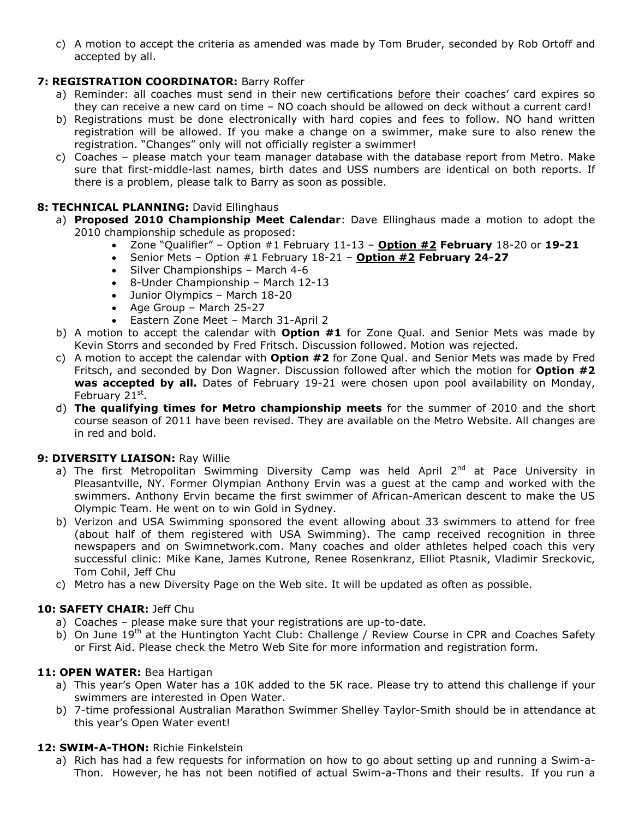c) A motion to accept the criteria as amended was made by Tom Bruder, seconded by Rob Ortoff and accepted by all.

# **7: REGISTRATION COORDINATOR:** Barry Roffer

- a) Reminder: all coaches must send in their new certifications before their coaches' card expires so they can receive a new card on time – NO coach should be allowed on deck without a current card!
- b) Registrations must be done electronically with hard copies and fees to follow. NO hand written registration will be allowed. If you make a change on a swimmer, make sure to also renew the registration. "Changes" only will not officially register a swimmer!
- c) Coaches please match your team manager database with the database report from Metro. Make sure that first-middle-last names, birth dates and USS numbers are identical on both reports. If there is a problem, please talk to Barry as soon as possible.

# **8: TECHNICAL PLANNING:** David Ellinghaus

- a) **Proposed 2010 Championship Meet Calendar**: Dave Ellinghaus made a motion to adopt the 2010 championship schedule as proposed:
	- Zone "Qualifier" Option #1 February 11-13 **Option #2 February** 18-20 or **19-21**
	- Senior Mets Option #1 February 18-21 **Option #2 February 24-27**
		- Silver Championships March 4-6
		- 8-Under Championship March 12-13
		- Junior Olympics March 18-20
		- $\bullet$  Age Group March 25-27
	- Eastern Zone Meet March 31-April 2
- b) A motion to accept the calendar with **Option #1** for Zone Qual. and Senior Mets was made by Kevin Storrs and seconded by Fred Fritsch. Discussion followed. Motion was rejected.
- c) A motion to accept the calendar with **Option #2** for Zone Qual. and Senior Mets was made by Fred Fritsch, and seconded by Don Wagner. Discussion followed after which the motion for **Option #2** was accepted by all. Dates of February 19-21 were chosen upon pool availability on Monday, February 21st.
- d) **The qualifying times for Metro championship meets** for the summer of 2010 and the short course season of 2011 have been revised. They are available on the Metro Website. All changes are in red and bold.

# **9: DIVERSITY LIAISON:** Ray Willie

- a) The first Metropolitan Swimming Diversity Camp was held April  $2^{nd}$  at Pace University in Pleasantville, NY. Former Olympian Anthony Ervin was a guest at the camp and worked with the swimmers. Anthony Ervin became the first swimmer of African-American descent to make the US Olympic Team. He went on to win Gold in Sydney.
- b) Verizon and USA Swimming sponsored the event allowing about 33 swimmers to attend for free (about half of them registered with USA Swimming). The camp received recognition in three newspapers and on Swimnetwork.com. Many coaches and older athletes helped coach this very successful clinic: Mike Kane, James Kutrone, Renee Rosenkranz, Elliot Ptasnik, Vladimir Sreckovic, Tom Cohil, Jeff Chu
- c) Metro has a new Diversity Page on the Web site. It will be updated as often as possible.

# **10: SAFETY CHAIR:** Jeff Chu

- a) Coaches please make sure that your registrations are up-to-date.
- b) On June 19<sup>th</sup> at the Huntington Yacht Club: Challenge / Review Course in CPR and Coaches Safety or First Aid. Please check the Metro Web Site for more information and registration form.

# **11: OPEN WATER:** Bea Hartigan

- a) This year's Open Water has a 10K added to the 5K race. Please try to attend this challenge if your swimmers are interested in Open Water.
- b) 7-time professional Australian Marathon Swimmer Shelley Taylor-Smith should be in attendance at this year's Open Water event!

# **12: SWIM-A-THON:** Richie Finkelstein

a) Rich has had a few requests for information on how to go about setting up and running a Swim-a-Thon. However, he has not been notified of actual Swim-a-Thons and their results. If you run a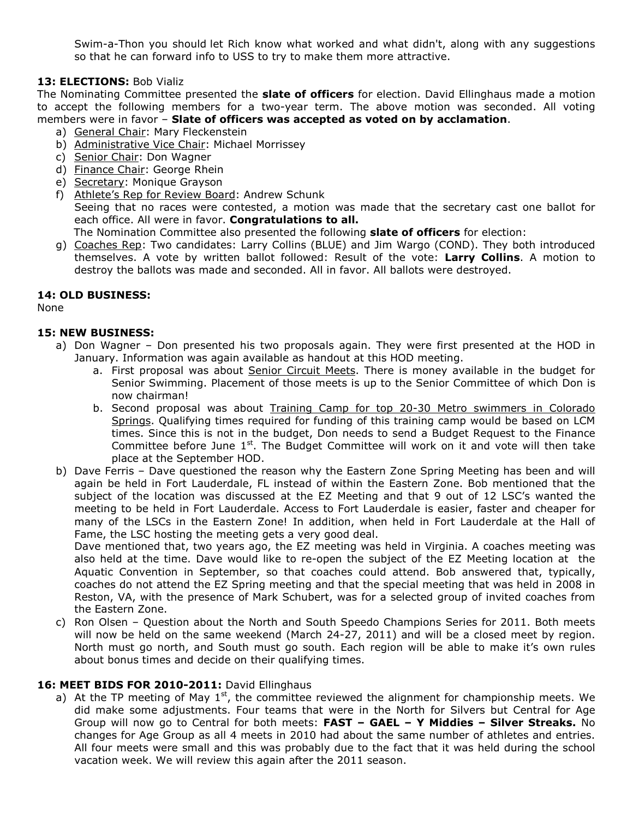Swim-a-Thon you should let Rich know what worked and what didn't, along with any suggestions so that he can forward info to USS to try to make them more attractive.

# **13: ELECTIONS:** Bob Vializ

The Nominating Committee presented the **slate of officers** for election. David Ellinghaus made a motion to accept the following members for a two-year term. The above motion was seconded. All voting members were in favor – **Slate of officers was accepted as voted on by acclamation**.

- a) General Chair: Mary Fleckenstein
- b) Administrative Vice Chair: Michael Morrissey
- c) Senior Chair: Don Wagner
- d) Finance Chair: George Rhein
- e) Secretary: Monique Grayson
- f) Athlete's Rep for Review Board: Andrew Schunk Seeing that no races were contested, a motion was made that the secretary cast one ballot for each office. All were in favor. **Congratulations to all.** The Nomination Committee also presented the following **slate of officers** for election:
- g) Coaches Rep: Two candidates: Larry Collins (BLUE) and Jim Wargo (COND). They both introduced themselves. A vote by written ballot followed: Result of the vote: **Larry Collins**. A motion to destroy the ballots was made and seconded. All in favor. All ballots were destroyed.

#### **14: OLD BUSINESS:**

None

#### **15: NEW BUSINESS:**

- a) Don Wagner Don presented his two proposals again. They were first presented at the HOD in January. Information was again available as handout at this HOD meeting.
	- a. First proposal was about Senior Circuit Meets. There is money available in the budget for Senior Swimming. Placement of those meets is up to the Senior Committee of which Don is now chairman!
	- b. Second proposal was about Training Camp for top 20-30 Metro swimmers in Colorado Springs. Qualifying times required for funding of this training camp would be based on LCM times. Since this is not in the budget, Don needs to send a Budget Request to the Finance Committee before June  $1^{st}$ . The Budget Committee will work on it and vote will then take place at the September HOD.
- b) Dave Ferris Dave questioned the reason why the Eastern Zone Spring Meeting has been and will again be held in Fort Lauderdale, FL instead of within the Eastern Zone. Bob mentioned that the subject of the location was discussed at the EZ Meeting and that 9 out of 12 LSC's wanted the meeting to be held in Fort Lauderdale. Access to Fort Lauderdale is easier, faster and cheaper for many of the LSCs in the Eastern Zone! In addition, when held in Fort Lauderdale at the Hall of Fame, the LSC hosting the meeting gets a very good deal.

Dave mentioned that, two years ago, the EZ meeting was held in Virginia. A coaches meeting was also held at the time. Dave would like to re-open the subject of the EZ Meeting location at the Aquatic Convention in September, so that coaches could attend. Bob answered that, typically, coaches do not attend the EZ Spring meeting and that the special meeting that was held in 2008 in Reston, VA, with the presence of Mark Schubert, was for a selected group of invited coaches from the Eastern Zone.

c) Ron Olsen – Question about the North and South Speedo Champions Series for 2011. Both meets will now be held on the same weekend (March 24-27, 2011) and will be a closed meet by region. North must go north, and South must go south. Each region will be able to make it's own rules about bonus times and decide on their qualifying times.

#### **16: MEET BIDS FOR 2010-2011:** David Ellinghaus

a) At the TP meeting of May  $1<sup>st</sup>$ , the committee reviewed the alignment for championship meets. We did make some adjustments. Four teams that were in the North for Silvers but Central for Age Group will now go to Central for both meets: **FAST – GAEL – Y Middies – Silver Streaks.** No changes for Age Group as all 4 meets in 2010 had about the same number of athletes and entries. All four meets were small and this was probably due to the fact that it was held during the school vacation week. We will review this again after the 2011 season.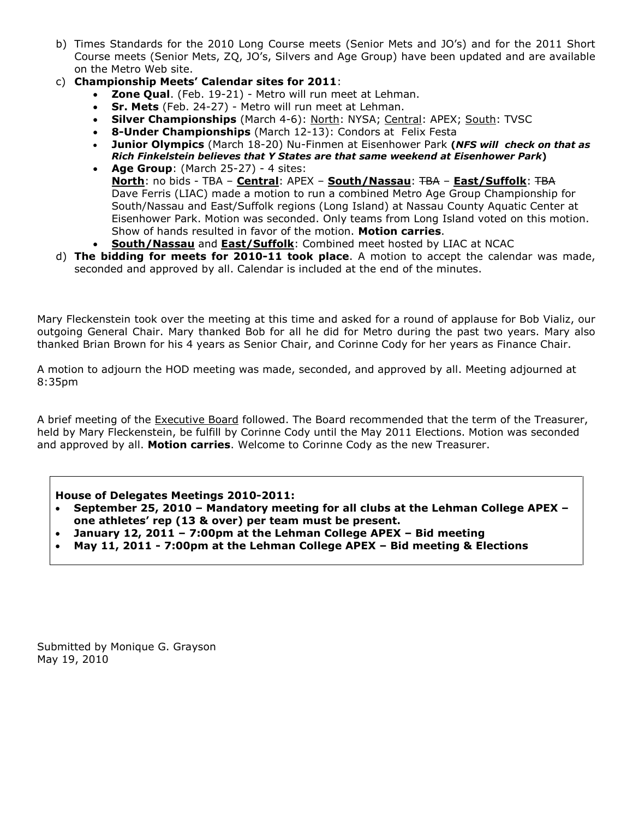- b) Times Standards for the 2010 Long Course meets (Senior Mets and JO's) and for the 2011 Short Course meets (Senior Mets, ZQ, JO's, Silvers and Age Group) have been updated and are available on the Metro Web site.
- c) **Championship Meets' Calendar sites for 2011**:
	- **Zone Qual**. (Feb. 19-21) Metro will run meet at Lehman.
	- **Sr. Mets** (Feb. 24-27) Metro will run meet at Lehman.
	- **Silver Championships** (March 4-6): North: NYSA; Central: APEX; South: TVSC
	- **8-Under Championships** (March 12-13): Condors at Felix Festa
	- **Junior Olympics** (March 18-20) Nu-Finmen at Eisenhower Park **(***NFS will check on that as Rich Finkelstein believes that Y States are that same weekend at Eisenhower Park***)**
	- **Age Group**: (March 25-27) 4 sites: **North**: no bids - TBA – **Central**: APEX – **South/Nassau**: TBA – **East/Suffolk**: TBA Dave Ferris (LIAC) made a motion to run a combined Metro Age Group Championship for South/Nassau and East/Suffolk regions (Long Island) at Nassau County Aquatic Center at Eisenhower Park. Motion was seconded. Only teams from Long Island voted on this motion. Show of hands resulted in favor of the motion. **Motion carries**.
	- **South/Nassau** and **East/Suffolk**: Combined meet hosted by LIAC at NCAC
- d) **The bidding for meets for 2010-11 took place**. A motion to accept the calendar was made, seconded and approved by all. Calendar is included at the end of the minutes.

Mary Fleckenstein took over the meeting at this time and asked for a round of applause for Bob Vializ, our outgoing General Chair. Mary thanked Bob for all he did for Metro during the past two years. Mary also thanked Brian Brown for his 4 years as Senior Chair, and Corinne Cody for her years as Finance Chair.

A motion to adjourn the HOD meeting was made, seconded, and approved by all. Meeting adjourned at 8:35pm

A brief meeting of the Executive Board followed. The Board recommended that the term of the Treasurer, held by Mary Fleckenstein, be fulfill by Corinne Cody until the May 2011 Elections. Motion was seconded and approved by all. **Motion carries**. Welcome to Corinne Cody as the new Treasurer.

#### **House of Delegates Meetings 2010-2011:**

- **September 25, 2010 Mandatory meeting for all clubs at the Lehman College APEX – one athletes' rep (13 & over) per team must be present.**
- **January 12, 2011 7:00pm at the Lehman College APEX Bid meeting**
- **May 11, 2011 7:00pm at the Lehman College APEX Bid meeting & Elections**

Submitted by Monique G. Grayson May 19, 2010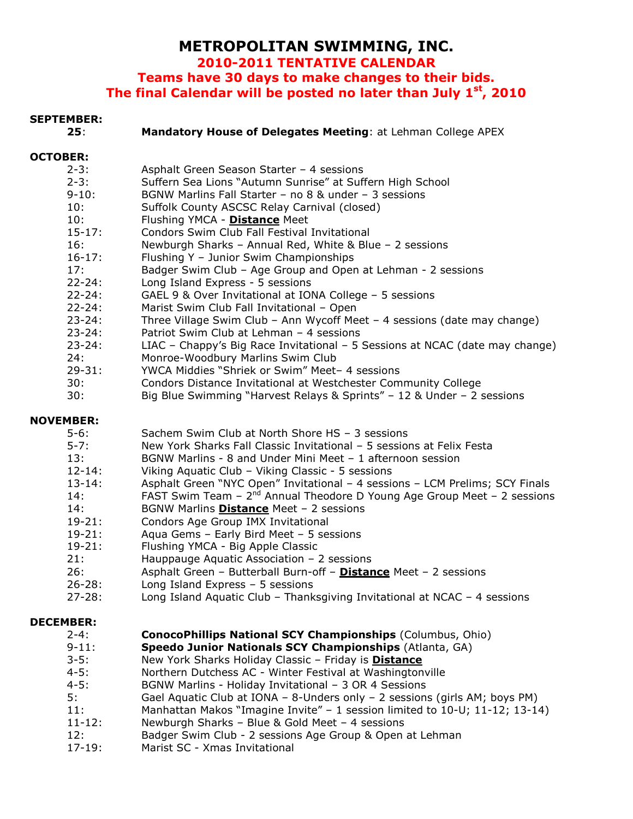# **METROPOLITAN SWIMMING, INC.**

**2010-2011 TENTATIVE CALENDAR**

**Teams have 30 days to make changes to their bids. The final Calendar will be posted no later than July 1st, 2010**

# **SEPTEMBER:**

| JEPIEMDEK;       |                                                                               |
|------------------|-------------------------------------------------------------------------------|
| 25:              | Mandatory House of Delegates Meeting: at Lehman College APEX                  |
| <b>OCTOBER:</b>  |                                                                               |
| $2 - 3:$         | Asphalt Green Season Starter - 4 sessions                                     |
| $2 - 3:$         | Suffern Sea Lions "Autumn Sunrise" at Suffern High School                     |
| $9 - 10:$        | BGNW Marlins Fall Starter - no 8 & under - 3 sessions                         |
| 10:              | Suffolk County ASCSC Relay Carnival (closed)                                  |
| 10:              | Flushing YMCA - Distance Meet                                                 |
| $15 - 17$ :      | Condors Swim Club Fall Festival Invitational                                  |
| 16:              | Newburgh Sharks - Annual Red, White & Blue - 2 sessions                       |
| $16 - 17:$       | Flushing Y - Junior Swim Championships                                        |
| 17:              | Badger Swim Club - Age Group and Open at Lehman - 2 sessions                  |
| $22 - 24:$       | Long Island Express - 5 sessions                                              |
| $22 - 24:$       | GAEL 9 & Over Invitational at IONA College - 5 sessions                       |
| $22 - 24:$       | Marist Swim Club Fall Invitational - Open                                     |
| $23 - 24:$       | Three Village Swim Club - Ann Wycoff Meet - 4 sessions (date may change)      |
| $23 - 24:$       | Patriot Swim Club at Lehman - 4 sessions                                      |
| $23 - 24:$       | LIAC - Chappy's Big Race Invitational - 5 Sessions at NCAC (date may change)  |
| 24:              | Monroe-Woodbury Marlins Swim Club                                             |
| $29 - 31:$       | YWCA Middies "Shriek or Swim" Meet- 4 sessions                                |
| 30:              | Condors Distance Invitational at Westchester Community College                |
| 30:              | Big Blue Swimming "Harvest Relays & Sprints" - 12 & Under - 2 sessions        |
| <b>NOVEMBER:</b> |                                                                               |
| $5 - 6:$         | Sachem Swim Club at North Shore HS - 3 sessions                               |
| $5 - 7:$         | New York Sharks Fall Classic Invitational - 5 sessions at Felix Festa         |
| 13:              | BGNW Marlins - 8 and Under Mini Meet - 1 afternoon session                    |
| $12 - 14:$       | Viking Aquatic Club - Viking Classic - 5 sessions                             |
| $13 - 14:$       | Asphalt Green "NYC Open" Invitational - 4 sessions - LCM Prelims; SCY Finals  |
| 14:              | FAST Swim Team $-2^{nd}$ Annual Theodore D Young Age Group Meet $-2$ sessions |
| 14:              | BGNW Marlins <b>Distance</b> Meet - 2 sessions                                |
| $19 - 21:$       | Condors Age Group IMX Invitational                                            |
| $19 - 21:$       | Aqua Gems - Early Bird Meet - 5 sessions                                      |
| $19 - 21$        | Flushing YMCA - Big Annle Classic                                             |

- 19-21: Flushing YMCA Big Apple Classic
- 21: Hauppauge Aquatic Association 2 sessions
- 26: Asphalt Green Butterball Burn-off **Distance** Meet 2 sessions
- 26-28: Long Island Express 5 sessions
- 27-28: Long Island Aquatic Club Thanksgiving Invitational at NCAC 4 sessions

#### **DECEMBER:**

| $2 - 4:$    | <b>ConocoPhillips National SCY Championships (Columbus, Ohio)</b>            |
|-------------|------------------------------------------------------------------------------|
| $9 - 11:$   | Speedo Junior Nationals SCY Championships (Atlanta, GA)                      |
| $3 - 5:$    | New York Sharks Holiday Classic - Friday is Distance                         |
| $4 - 5:$    | Northern Dutchess AC - Winter Festival at Washingtonville                    |
| $4 - 5:$    | BGNW Marlins - Holiday Invitational - 3 OR 4 Sessions                        |
| . 5:        | Gael Aquatic Club at IONA - 8-Unders only - 2 sessions (girls AM; boys PM)   |
| 11:         | Manhattan Makos "Imagine Invite" $-1$ session limited to 10-U; 11-12; 13-14) |
| $11 - 12$ : | Newburgh Sharks - Blue & Gold Meet - 4 sessions                              |
| 12:         | Badger Swim Club - 2 sessions Age Group & Open at Lehman                     |
| $17-19:$    | Marist SC - Xmas Invitational                                                |